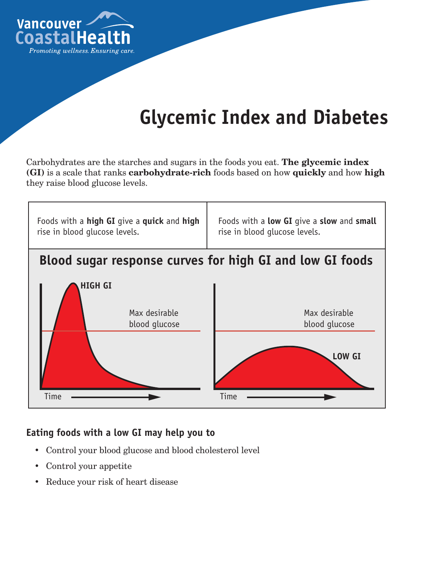

# **Glycemic Index and Diabetes**

Carbohydrates are the starches and sugars in the foods you eat. **The glycemic index (GI)** is a scale that ranks **carbohydrate-rich** foods based on how **quickly** and how **high** they raise blood glucose levels.



### **Eating foods with a low GI may help you to**

- • Control your blood glucose and blood cholesterol level
- • Control your appetite
- • Reduce your risk of heart disease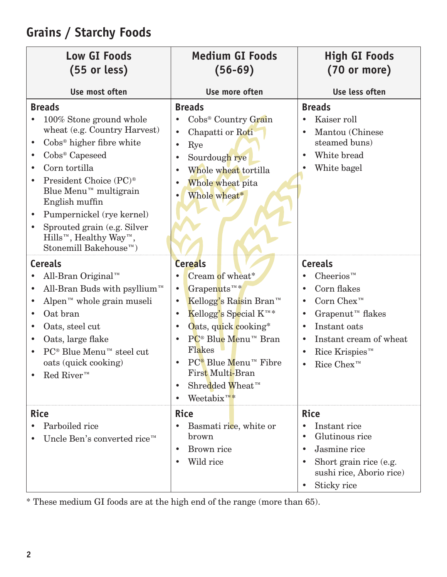| <b>Low GI Foods</b><br>$(55$ or less)                                                                                                                                                                                                                                                                                                                                                                             | <b>Medium GI Foods</b><br>$(56-69)$                                                                                                                                                                                                                                                                                                                                                             | <b>High GI Foods</b><br>$(70$ or more)                                                                                                                                                                                  |
|-------------------------------------------------------------------------------------------------------------------------------------------------------------------------------------------------------------------------------------------------------------------------------------------------------------------------------------------------------------------------------------------------------------------|-------------------------------------------------------------------------------------------------------------------------------------------------------------------------------------------------------------------------------------------------------------------------------------------------------------------------------------------------------------------------------------------------|-------------------------------------------------------------------------------------------------------------------------------------------------------------------------------------------------------------------------|
| Use most often                                                                                                                                                                                                                                                                                                                                                                                                    | Use more often                                                                                                                                                                                                                                                                                                                                                                                  | Use less often                                                                                                                                                                                                          |
| <b>Breads</b><br>100% Stone ground whole<br>wheat (e.g. Country Harvest)<br>Cobs <sup>®</sup> higher fibre white<br>Cobs <sup>®</sup> Capeseed<br>Corn tortilla<br>President Choice (PC) <sup>®</sup><br>Blue Menu <sup>™</sup> multigrain<br>English muffin<br>Pumpernickel (rye kernel)<br>Sprouted grain (e.g. Silver<br>Hills <sup>™</sup> , Healthy Way <sup>™</sup> ,<br>Stonemill Bakehouse <sup>™</sup> ) | <b>Breads</b><br>Cobs <sup>®</sup> Country Grain<br>Chapatti or Roti<br>$\bullet$<br>Rye<br>$\bullet$<br>Sourdough rye<br>$\bullet$<br>Whole wheat tortilla<br>Whole wheat pita<br>Whole wheat*                                                                                                                                                                                                 | <b>Breads</b><br>Kaiser roll<br>$\bullet$<br>Mantou (Chinese<br>steamed buns)<br>White bread<br>White bagel                                                                                                             |
| <b>Cereals</b><br>All-Bran Original™<br>All-Bran Buds with psyllium <sup>TM</sup><br>Alpen <sup>™</sup> whole grain museli<br>Oat bran<br>Oats, steel cut<br>Oats, large flake<br>PC <sup>®</sup> Blue Menu <sup>™</sup> steel cut<br>oats (quick cooking)<br>$\text{Red River}^{m}$                                                                                                                              | <b>Cereals</b><br>Cream of wheat*<br>Grapenuts <sup>™</sup> *<br>Kellogg's Raisin Bran™<br>$\bullet$<br>Kellogg's Special $K^{\scriptscriptstyle TM}*$<br>Oats, quick cooking*<br>$\bullet$<br>PC <sup>®</sup> Blue Menu™ Bran<br>Flakes<br>$PC^{\circledast}$ Blue Menu <sup><i>m</i></sup> Fibre<br>First Multi-Bran<br>Shredded Wheat <sup>™</sup><br>$\bullet$<br>Weetabix $\mathbb{R}^N$ * | <b>Cereals</b><br>$\text{Cheerios}^{m}$<br>Corn flakes<br>Corn $Chex^m$<br>Grapenut <sup>™</sup> flakes<br>Instant oats<br>Instant cream of wheat<br>$\bullet$<br>Rice Krispies <sup><math>m</math></sup><br>Rice Chex™ |
| <b>Rice</b><br>Parboiled rice<br>Uncle Ben's converted rice™                                                                                                                                                                                                                                                                                                                                                      | <b>Rice</b><br>Basmati rice, white or<br>brown<br>Brown rice<br>$\bullet$<br>Wild rice                                                                                                                                                                                                                                                                                                          | <b>Rice</b><br>Instant rice<br>Glutinous rice<br>Jasmine rice<br>Short grain rice (e.g.<br>sushi rice, Aborio rice)<br>Sticky rice                                                                                      |

# **Grains / Starchy Foods**

\* These medium GI foods are at the high end of the range (more than 65).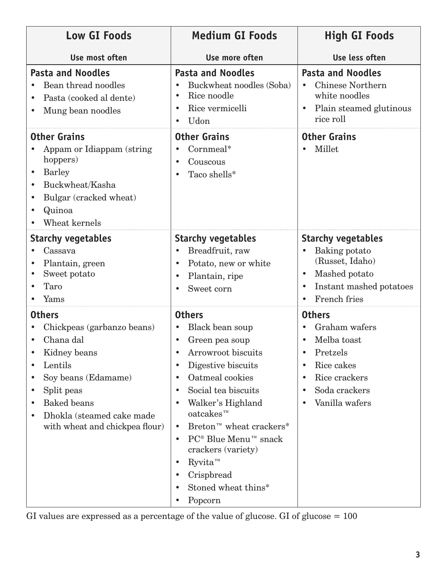| <b>Low GI Foods</b>                                                                                                                                                                                                                                                            | <b>Medium GI Foods</b>                                                                                                                                                                                                                                                                                                                                                                                                                                                                              | <b>High GI Foods</b>                                                                                                                                                            |
|--------------------------------------------------------------------------------------------------------------------------------------------------------------------------------------------------------------------------------------------------------------------------------|-----------------------------------------------------------------------------------------------------------------------------------------------------------------------------------------------------------------------------------------------------------------------------------------------------------------------------------------------------------------------------------------------------------------------------------------------------------------------------------------------------|---------------------------------------------------------------------------------------------------------------------------------------------------------------------------------|
| Use most often                                                                                                                                                                                                                                                                 | Use more often                                                                                                                                                                                                                                                                                                                                                                                                                                                                                      | Use less often                                                                                                                                                                  |
| <b>Pasta and Noodles</b><br>Bean thread noodles<br>Pasta (cooked al dente)<br>$\bullet$<br>Mung bean noodles                                                                                                                                                                   | <b>Pasta and Noodles</b><br>Buckwheat noodles (Soba)<br>Rice noodle<br>٠<br>Rice vermicelli<br>٠<br>Udon                                                                                                                                                                                                                                                                                                                                                                                            | <b>Pasta and Noodles</b><br><b>Chinese Northern</b><br>$\bullet$<br>white noodles<br>Plain steamed glutinous<br>$\bullet$<br>rice roll                                          |
| <b>Other Grains</b><br>Appam or Idiappam (string)<br>hoppers)<br><b>Barley</b><br>$\bullet$<br>Buckwheat/Kasha<br>$\bullet$<br>Bulgar (cracked wheat)<br>Quinoa<br>٠<br>Wheat kernels                                                                                          | <b>Other Grains</b><br>Cornmeal*<br>Couscous<br>$\bullet$<br>Taco shells*                                                                                                                                                                                                                                                                                                                                                                                                                           | <b>Other Grains</b><br>Millet                                                                                                                                                   |
| <b>Starchy vegetables</b><br>Cassava<br>Plantain, green<br>$\bullet$<br>Sweet potato<br>Taro<br>Yams                                                                                                                                                                           | <b>Starchy vegetables</b><br>Breadfruit, raw<br>$\bullet$<br>Potato, new or white<br>$\bullet$<br>Plantain, ripe<br>$\bullet$<br>Sweet corn<br>$\bullet$                                                                                                                                                                                                                                                                                                                                            | <b>Starchy vegetables</b><br>Baking potato<br>$\bullet$<br>(Russet, Idaho)<br>Mashed potato<br>$\bullet$<br>Instant mashed potatoes<br>٠<br>French fries<br>$\bullet$           |
| <b>Others</b><br>Chickpeas (garbanzo beans)<br>Chana dal<br>Kidney beans<br>Lentils<br>$\bullet$<br>Soy beans (Edamame)<br>$\bullet$<br>Split peas<br>$\bullet$<br><b>Baked</b> beans<br>$\bullet$<br>Dhokla (steamed cake made<br>$\bullet$<br>with wheat and chickpea flour) | <b>Others</b><br>Black bean soup<br>Green pea soup<br>Arrowroot biscuits<br>Digestive biscuits<br>$\bullet$<br>Oatmeal cookies<br>$\bullet$<br>Social tea biscuits<br>$\bullet$<br>Walker's Highland<br>$\bullet$<br>$oatches^m$<br>Breton <sup>™</sup> wheat crackers*<br>$\bullet$<br>$PC^{\circledR}$ Blue Menu <sup>™</sup> snack<br>$\bullet$<br>crackers (variety)<br>Ryvita <sup>™</sup><br>$\bullet$<br>Crispbread<br>$\bullet$<br>Stoned wheat thins*<br>$\bullet$<br>Popcorn<br>$\bullet$ | <b>Others</b><br>Graham wafers<br>Melba toast<br>Pretzels<br>Rice cakes<br>$\bullet$<br>Rice crackers<br>$\bullet$<br>Soda crackers<br>$\bullet$<br>Vanilla wafers<br>$\bullet$ |

GI values are expressed as a percentage of the value of glucose. GI of glucose  $= 100$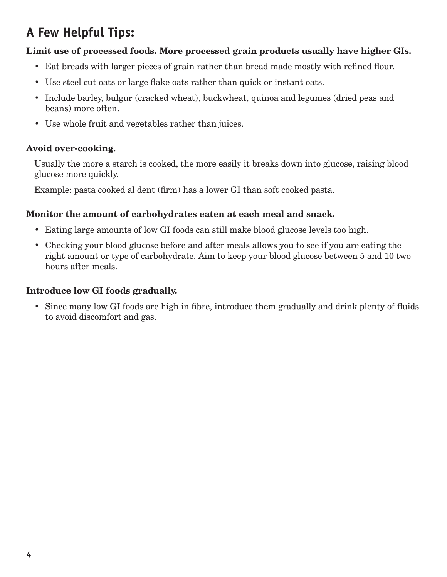# **A Few Helpful Tips:**

#### **Limit use of processed foods. More processed grain products usually have higher GIs.**

- Eat breads with larger pieces of grain rather than bread made mostly with refined flour.
- Use steel cut oats or large flake oats rather than quick or instant oats.
- Include barley, bulgur (cracked wheat), buckwheat, quinoa and legumes (dried peas and beans) more often.
- Use whole fruit and vegetables rather than juices.

#### **Avoid over-cooking.**

Usually the more a starch is cooked, the more easily it breaks down into glucose, raising blood glucose more quickly.

Example: pasta cooked al dent (firm) has a lower GI than soft cooked pasta.

#### **Monitor the amount of carbohydrates eaten at each meal and snack.**

- Eating large amounts of low GI foods can still make blood glucose levels too high.
- Checking your blood glucose before and after meals allows you to see if you are eating the right amount or type of carbohydrate. Aim to keep your blood glucose between 5 and 10 two hours after meals.

#### **Introduce low GI foods gradually.**

• Since many low GI foods are high in fibre, introduce them gradually and drink plenty of fluids to avoid discomfort and gas.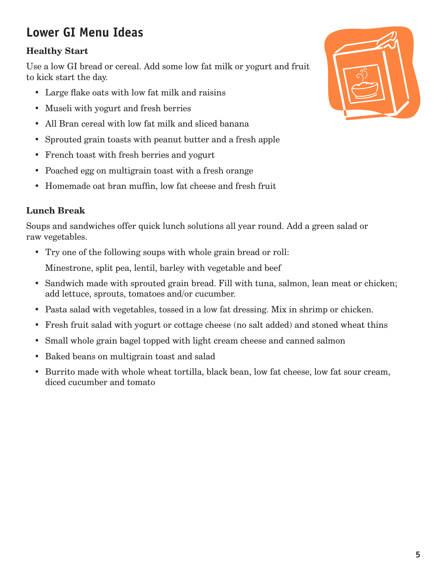# **Lower GI Menu Ideas**

### **Healthy Start**

Use a low GI bread or cereal. Add some low fat milk or yogurt and fruit to kick start the day.

- Large flake oats with low fat milk and raisins
- Museli with yogurt and fresh berries
- All Bran cereal with low fat milk and sliced banana
- Sprouted grain toasts with peanut butter and a fresh apple
- French toast with fresh berries and yogurt
- Poached egg on multigrain toast with a fresh orange
- Homemade oat bran muffin, low fat cheese and fresh fruit

### **Lunch Break**

Soups and sandwiches offer quick lunch solutions all year round. Add a green salad or raw vegetables.

• Try one of the following soups with whole grain bread or roll:

Minestrone, split pea, lentil, barley with vegetable and beef

- Sandwich made with sprouted grain bread. Fill with tuna, salmon, lean meat or chicken; add lettuce, sprouts, tomatoes and/or cucumber.
- Pasta salad with vegetables, tossed in a low fat dressing. Mix in shrimp or chicken.
- Fresh fruit salad with yogurt or cottage cheese (no salt added) and stoned wheat thins
- Small whole grain bagel topped with light cream cheese and canned salmon
- • Baked beans on multigrain toast and salad
- Burrito made with whole wheat tortilla, black bean, low fat cheese, low fat sour cream, diced cucumber and tomato

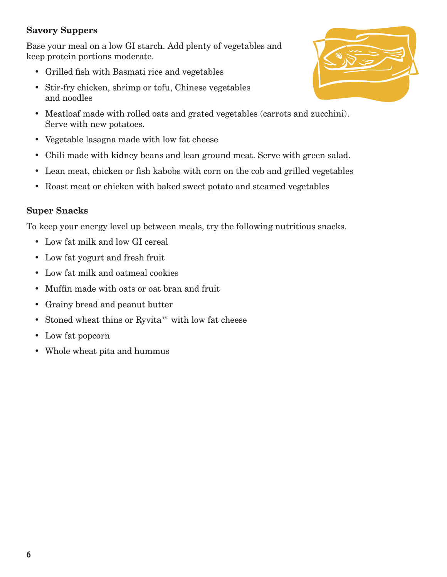#### **Savory Suppers**

Base your meal on a low GI starch. Add plenty of vegetables and keep protein portions moderate.

- • Grilled fish with Basmati rice and vegetables
- Stir-fry chicken, shrimp or tofu, Chinese vegetables and noodles
- Meatloaf made with rolled oats and grated vegetables (carrots and zucchini). Serve with new potatoes.
- • Vegetable lasagna made with low fat cheese
- Chili made with kidney beans and lean ground meat. Serve with green salad.
- Lean meat, chicken or fish kabobs with corn on the cob and grilled vegetables
- Roast meat or chicken with baked sweet potato and steamed vegetables

#### **Super Snacks**

To keep your energy level up between meals, try the following nutritious snacks.

- Low fat milk and low GI cereal
- Low fat yogurt and fresh fruit
- • Low fat milk and oatmeal cookies
- • Muffin made with oats or oat bran and fruit
- • Grainy bread and peanut butter
- Stoned wheat thins or Ryvita™ with low fat cheese
- Low fat popcorn
- • Whole wheat pita and hummus

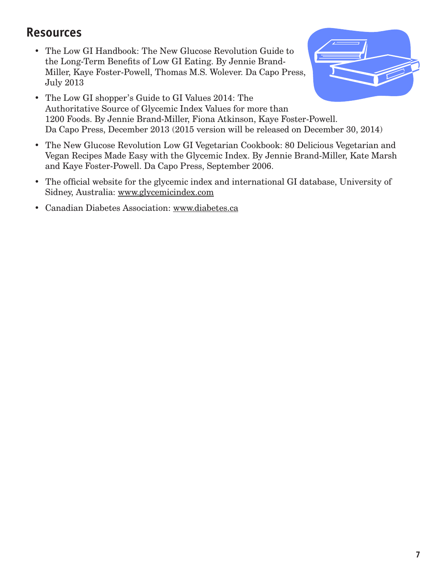### **Resources**

• The Low GI Handbook: The New Glucose Revolution Guide to the Long-Term Benefits of Low GI Eating. By Jennie Brand-Miller, Kaye Foster-Powell, Thomas M.S. Wolever. Da Capo Press, July 2013



- The Low GI shopper's Guide to GI Values 2014: The Authoritative Source of Glycemic Index Values for more than 1200 Foods. By Jennie Brand-Miller, Fiona Atkinson, Kaye Foster-Powell. Da Capo Press, December 2013 (2015 version will be released on December 30, 2014)
- The New Glucose Revolution Low GI Vegetarian Cookbook: 80 Delicious Vegetarian and Vegan Recipes Made Easy with the Glycemic Index. By Jennie Brand-Miller, Kate Marsh and Kaye Foster-Powell. Da Capo Press, September 2006.
- The official website for the glycemic index and international GI database, University of Sidney, Australia: www.glycemicindex.com
- • Canadian Diabetes Association: www.diabetes.ca